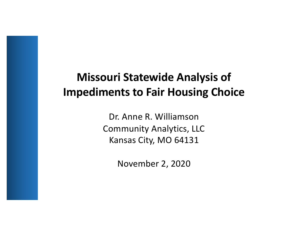## **Missouri Statewide Analysis of Impediments to Fair Housing Choice**

Dr. Anne R. Williamson Community Analytics, LLC Kansas City, MO 64131

November 2, 2020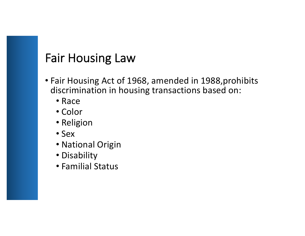## Fair Housing Law

- Fair Housing Act of 1968, amended in 1988,prohibits discrimination in housing transactions based on:
	- Race
	- Color
	- Religion
	- Sex
	- National Origin
	- Disability
	- Familial Status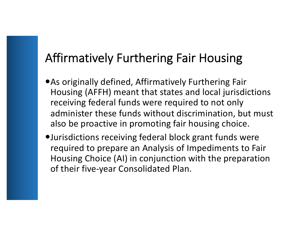# Affirmatively Furthering Fair Housing

- As originally defined, Affirmatively Furthering Fair Housing (AFFH) meant that states and local jurisdictions receiving federal funds were required to not only administer these funds without discrimination, but must also be proactive in promoting fair housing choice.
- Jurisdictions receiving federal block grant funds were required to prepare an Analysis of Impediments to Fair Housing Choice (AI) in conjunction with the preparation of their five-year Consolidated Plan.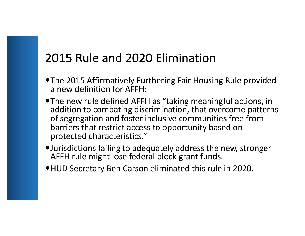# 2015 Rule and 2020 Elimination

- The 2015 Affirmatively Furthering Fair Housing Rule provided a new definition for AFFH:
- The new rule defined AFFH as "taking meaningful actions, in addition to combating discrimination, that overcome patterns of segregation and foster inclusive communities free from barriers that restrict access to opportunity based on protected characteristics."
- Jurisdictions failing to adequately address the new, stronger AFFH rule might lose federal block grant funds.
- HUD Secretary Ben Carson eliminated this rule in 2020.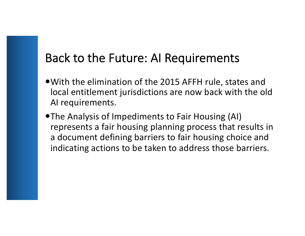## Back to the Future: AI Requirements

- With the elimination of the 2015 AFFH rule, states and local entitlement jurisdictions are now back with the old AI requirements.
- The Analysis of Impediments to Fair Housing (AI) represents a fair housing planning process that results in a document defining barriers to fair housing choice and indicating actions to be taken to address those barriers.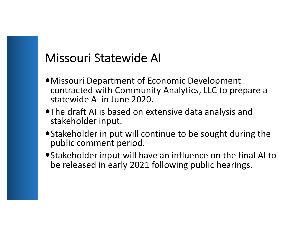## Missouri Statewide AI

- Missouri Department of Economic Development contracted with Community Analytics, LLC to prepare a statewide AI in June 2020.
- The draft AI is based on extensive data analysis and stakeholder input.
- Stakeholder in put will continue to be sought during the public comment period.
- Stakeholder input will have an influence on the final AI to be released in early 2021 following public hearings.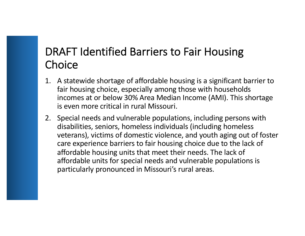#### DRAFT Identified Barriers to Fair Housing **Choice**

- 1. A statewide shortage of affordable housing is a significant barrier to fair housing choice, especially among those with households incomes at or below 30% Area Median Income (AMI). This shortage is even more critical in rural Missouri.
- 2. Special needs and vulnerable populations, including persons with disabilities, seniors, homeless individuals (including homeless veterans), victims of domestic violence, and youth aging out of foster care experience barriers to fair housing choice due to the lack of affordable housing units that meet their needs. The lack of affordable units for special needs and vulnerable populations is particularly pronounced in Missouri's rural areas.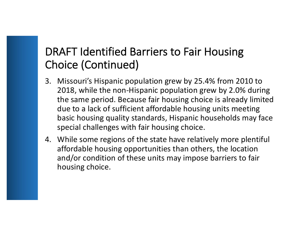### DRAFT Identified Barriers to Fair Housing Choice (Continued)

- 3. Missouri's Hispanic population grew by 25.4% from 2010 to 2018, while the non-Hispanic population grew by 2.0% during the same period. Because fair housing choice is already limited due to a lack of sufficient affordable housing units meeting basic housing quality standards, Hispanic households may face special challenges with fair housing choice.
- 4. While some regions of the state have relatively more plentiful affordable housing opportunities than others, the location and/or condition of these units may impose barriers to fair housing choice.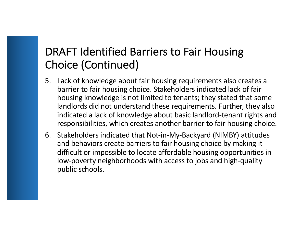### DRAFT Identified Barriers to Fair Housing Choice (Continued)

- 5. Lack of knowledge about fair housing requirements also creates a barrier to fair housing choice. Stakeholders indicated lack of fair housing knowledge is not limited to tenants; they stated that some landlords did not understand these requirements. Further, they also indicated a lack of knowledge about basic landlord-tenant rights and responsibilities, which creates another barrier to fair housing choice.
- 6. Stakeholders indicated that Not-in-My-Backyard (NIMBY) attitudes and behaviors create barriers to fair housing choice by making it difficult or impossible to locate affordable housing opportunities in low-poverty neighborhoods with access to jobs and high-quality public schools.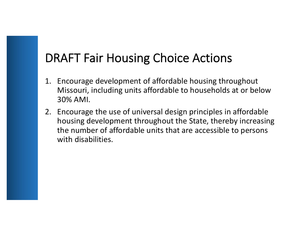## DRAFT Fair Housing Choice Actions

- 1. Encourage development of affordable housing throughout Missouri, including units affordable to households at or below 30% AMI.
- 2. Encourage the use of universal design principles in affordable housing development throughout the State, thereby increasing the number of affordable units that are accessible to persons with disabilities.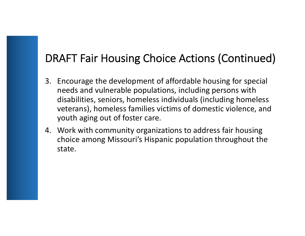### DRAFT Fair Housing Choice Actions (Continued)

- 3. Encourage the development of affordable housing for special needs and vulnerable populations, including persons with disabilities, seniors, homeless individuals (including homeless veterans), homeless families victims of domestic violence, and youth aging out of foster care.
- 4. Work with community organizations to address fair housing choice among Missouri's Hispanic population throughout the state.